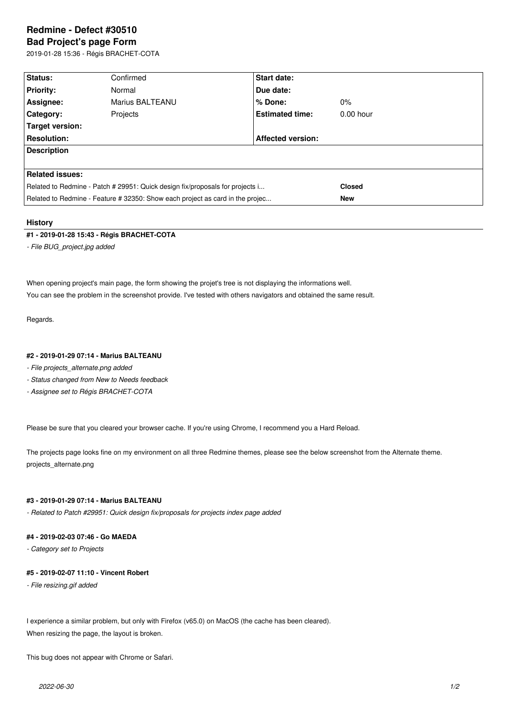# **Redmine - Defect #30510**

# **Bad Project's page Form**

2019-01-28 15:36 - Régis BRACHET-COTA

| Status:                                                                       | Confirmed       | <b>Start date:</b>       |               |  |  |  |  |
|-------------------------------------------------------------------------------|-----------------|--------------------------|---------------|--|--|--|--|
| <b>Priority:</b>                                                              | Normal          | Due date:                |               |  |  |  |  |
| Assignee:                                                                     | Marius BALTEANU | % Done:                  | $0\%$         |  |  |  |  |
| <b>Category:</b>                                                              | Projects        | <b>Estimated time:</b>   | $0.00$ hour   |  |  |  |  |
| Target version:                                                               |                 |                          |               |  |  |  |  |
| <b>Resolution:</b>                                                            |                 | <b>Affected version:</b> |               |  |  |  |  |
| <b>Description</b>                                                            |                 |                          |               |  |  |  |  |
|                                                                               |                 |                          |               |  |  |  |  |
| <b>Related issues:</b>                                                        |                 |                          |               |  |  |  |  |
| Related to Redmine - Patch # 29951: Quick design fix/proposals for projects i |                 |                          | <b>Closed</b> |  |  |  |  |
| Related to Redmine - Feature # 32350: Show each project as card in the projec |                 |                          | <b>New</b>    |  |  |  |  |

## **History**

## **#1 - 2019-01-28 15:43 - Régis BRACHET-COTA**

*- File BUG\_project.jpg added*

When opening project's main page, the form showing the projet's tree is not displaying the informations well. You can see the problem in the screenshot provide. I've tested with others navigators and obtained the same result.

Regards.

## **#2 - 2019-01-29 07:14 - Marius BALTEANU**

- *File projects\_alternate.png added*
- *Status changed from New to Needs feedback*
- *Assignee set to Régis BRACHET-COTA*

Please be sure that you cleared your browser cache. If you're using Chrome, I recommend you a Hard Reload.

The projects page looks fine on my environment on all three Redmine themes, please see the below screenshot from the Alternate theme. projects\_alternate.png

# **#3 - 2019-01-29 07:14 - Marius BALTEANU**

*- Related to Patch #29951: Quick design fix/proposals for projects index page added*

# **#4 - 2019-02-03 07:46 - Go MAEDA**

*- Category set to Projects*

## **#5 - 2019-02-07 11:10 - Vincent Robert**

*- File resizing.gif added*

I experience a similar problem, but only with Firefox (v65.0) on MacOS (the cache has been cleared). When resizing the page, the layout is broken.

This bug does not appear with Chrome or Safari.